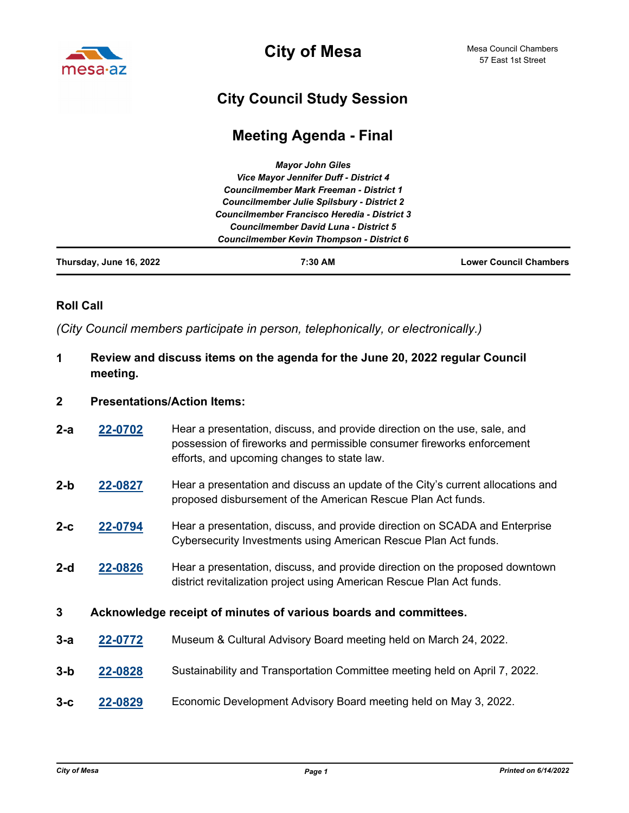

**City of Mesa**

# **City Council Study Session**

## **Meeting Agenda - Final**

|                         | <b>Mayor John Giles</b>                                                                      |                               |
|-------------------------|----------------------------------------------------------------------------------------------|-------------------------------|
|                         | Vice Mayor Jennifer Duff - District 4                                                        |                               |
|                         | <b>Councilmember Mark Freeman - District 1</b>                                               |                               |
|                         | <b>Councilmember Julie Spilsbury - District 2</b>                                            |                               |
|                         | Councilmember Francisco Heredia - District 3<br><b>Councilmember David Luna - District 5</b> |                               |
|                         |                                                                                              |                               |
|                         | <b>Councilmember Kevin Thompson - District 6</b>                                             |                               |
| Thursday, June 16, 2022 | 7:30 AM                                                                                      | <b>Lower Council Chambers</b> |

## **Roll Call**

*(City Council members participate in person, telephonically, or electronically.)*

## **1 Review and discuss items on the agenda for the June 20, 2022 regular Council meeting.**

#### **2 Presentations/Action Items:**

- **[22-0702](http://mesa.legistar.com/gateway.aspx?m=l&id=/matter.aspx?key=18593)** Hear a presentation, discuss, and provide direction on the use, sale, and possession of fireworks and permissible consumer fireworks enforcement efforts, and upcoming changes to state law. **2-a**
- **[22-0827](http://mesa.legistar.com/gateway.aspx?m=l&id=/matter.aspx?key=18718)** Hear a presentation and discuss an update of the City's current allocations and proposed disbursement of the American Rescue Plan Act funds. **2-b**
- **[22-0794](http://mesa.legistar.com/gateway.aspx?m=l&id=/matter.aspx?key=18685)** Hear a presentation, discuss, and provide direction on SCADA and Enterprise Cybersecurity Investments using American Rescue Plan Act funds. **2-c**
- **[22-0826](http://mesa.legistar.com/gateway.aspx?m=l&id=/matter.aspx?key=18717)** Hear a presentation, discuss, and provide direction on the proposed downtown district revitalization project using American Rescue Plan Act funds. **2-d**

### **3 Acknowledge receipt of minutes of various boards and committees.**

- **3-a [22-0772](http://mesa.legistar.com/gateway.aspx?m=l&id=/matter.aspx?key=18663)** Museum & Cultural Advisory Board meeting held on March 24, 2022.
- **3-b [22-0828](http://mesa.legistar.com/gateway.aspx?m=l&id=/matter.aspx?key=18719)** Sustainability and Transportation Committee meeting held on April 7, 2022.
- **3-c [22-0829](http://mesa.legistar.com/gateway.aspx?m=l&id=/matter.aspx?key=18720)** Economic Development Advisory Board meeting held on May 3, 2022.